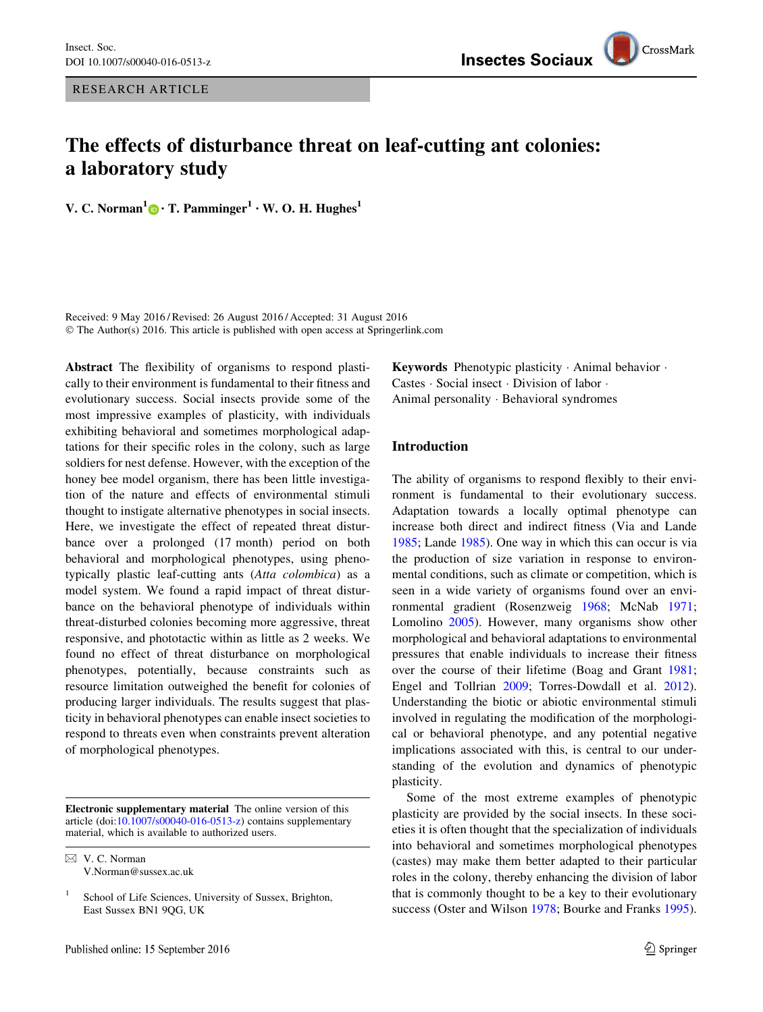

# The effects of disturbance threat on leaf-cutting ant colonies: a laboratory study

V. C. Norman<sup>1</sup> • T. Pamminger<sup>1</sup> • W. O. H. Hughes<sup>1</sup>

Received: 9 May 2016 / Revised: 26 August 2016 / Accepted: 31 August 2016 © The Author(s) 2016. This article is published with open access at Springerlink.com

Abstract The flexibility of organisms to respond plastically to their environment is fundamental to their fitness and evolutionary success. Social insects provide some of the most impressive examples of plasticity, with individuals exhibiting behavioral and sometimes morphological adaptations for their specific roles in the colony, such as large soldiers for nest defense. However, with the exception of the honey bee model organism, there has been little investigation of the nature and effects of environmental stimuli thought to instigate alternative phenotypes in social insects. Here, we investigate the effect of repeated threat disturbance over a prolonged (17 month) period on both behavioral and morphological phenotypes, using phenotypically plastic leaf-cutting ants (Atta colombica) as a model system. We found a rapid impact of threat disturbance on the behavioral phenotype of individuals within threat-disturbed colonies becoming more aggressive, threat responsive, and phototactic within as little as 2 weeks. We found no effect of threat disturbance on morphological phenotypes, potentially, because constraints such as resource limitation outweighed the benefit for colonies of producing larger individuals. The results suggest that plasticity in behavioral phenotypes can enable insect societies to respond to threats even when constraints prevent alteration of morphological phenotypes.

Electronic supplementary material The online version of this article (doi[:10.1007/s00040-016-0513-z](http://dx.doi.org/10.1007/s00040-016-0513-z)) contains supplementary material, which is available to authorized users.

 $\boxtimes$  V. C. Norman V.Norman@sussex.ac.uk Keywords Phenotypic plasticity - Animal behavior - Castes - Social insect - Division of labor - Animal personality - Behavioral syndromes

# Introduction

The ability of organisms to respond flexibly to their environment is fundamental to their evolutionary success. Adaptation towards a locally optimal phenotype can increase both direct and indirect fitness (Via and Lande [1985](#page-10-0); Lande [1985](#page-9-0)). One way in which this can occur is via the production of size variation in response to environmental conditions, such as climate or competition, which is seen in a wide variety of organisms found over an environmental gradient (Rosenzweig [1968;](#page-9-0) McNab [1971](#page-9-0); Lomolino [2005](#page-9-0)). However, many organisms show other morphological and behavioral adaptations to environmental pressures that enable individuals to increase their fitness over the course of their lifetime (Boag and Grant [1981](#page-8-0); Engel and Tollrian [2009;](#page-8-0) Torres-Dowdall et al. [2012](#page-9-0)). Understanding the biotic or abiotic environmental stimuli involved in regulating the modification of the morphological or behavioral phenotype, and any potential negative implications associated with this, is central to our understanding of the evolution and dynamics of phenotypic plasticity.

Some of the most extreme examples of phenotypic plasticity are provided by the social insects. In these societies it is often thought that the specialization of individuals into behavioral and sometimes morphological phenotypes (castes) may make them better adapted to their particular roles in the colony, thereby enhancing the division of labor that is commonly thought to be a key to their evolutionary success (Oster and Wilson [1978](#page-9-0); Bourke and Franks [1995](#page-8-0)).

<sup>&</sup>lt;sup>1</sup> School of Life Sciences, University of Sussex, Brighton, East Sussex BN1 9QG, UK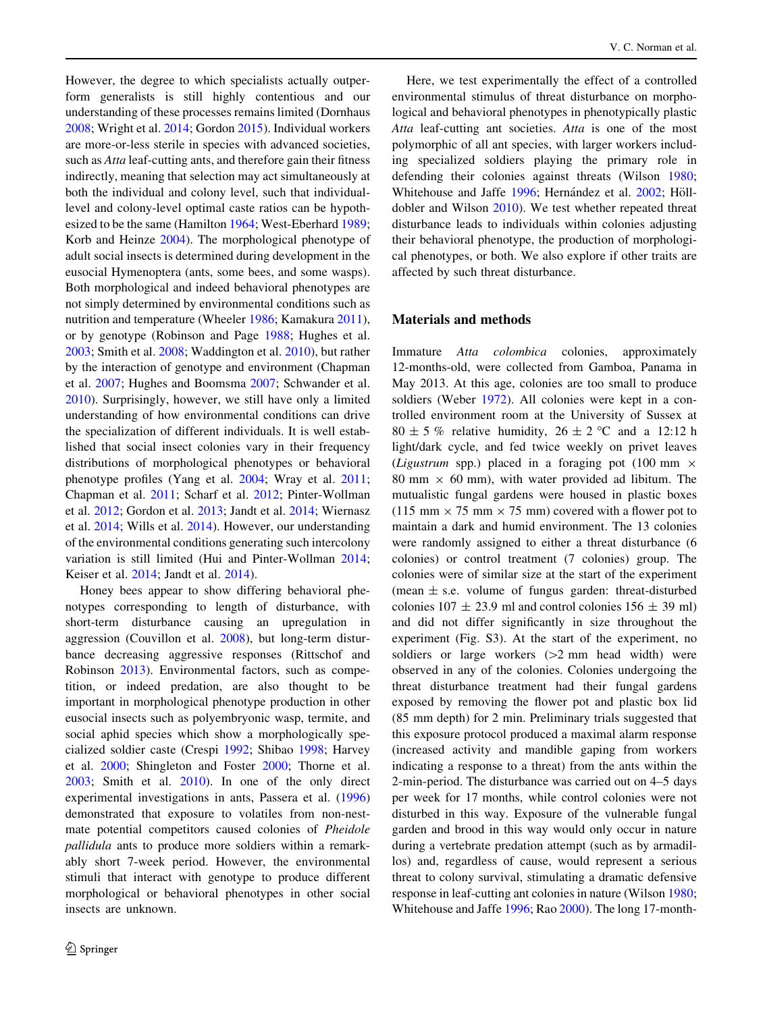However, the degree to which specialists actually outperform generalists is still highly contentious and our understanding of these processes remains limited (Dornhaus [2008;](#page-8-0) Wright et al. [2014;](#page-10-0) Gordon [2015\)](#page-8-0). Individual workers are more-or-less sterile in species with advanced societies, such as *Atta* leaf-cutting ants, and therefore gain their fitness indirectly, meaning that selection may act simultaneously at both the individual and colony level, such that individuallevel and colony-level optimal caste ratios can be hypothesized to be the same (Hamilton [1964](#page-9-0); West-Eberhard [1989](#page-10-0); Korb and Heinze [2004](#page-9-0)). The morphological phenotype of adult social insects is determined during development in the eusocial Hymenoptera (ants, some bees, and some wasps). Both morphological and indeed behavioral phenotypes are not simply determined by environmental conditions such as nutrition and temperature (Wheeler [1986](#page-10-0); Kamakura [2011](#page-9-0)), or by genotype (Robinson and Page [1988](#page-9-0); Hughes et al. [2003;](#page-9-0) Smith et al. [2008;](#page-9-0) Waddington et al. [2010\)](#page-10-0), but rather by the interaction of genotype and environment (Chapman et al. [2007](#page-8-0); Hughes and Boomsma [2007](#page-9-0); Schwander et al. [2010\)](#page-9-0). Surprisingly, however, we still have only a limited understanding of how environmental conditions can drive the specialization of different individuals. It is well established that social insect colonies vary in their frequency distributions of morphological phenotypes or behavioral phenotype profiles (Yang et al. [2004;](#page-10-0) Wray et al. [2011](#page-10-0); Chapman et al. [2011](#page-8-0); Scharf et al. [2012](#page-9-0); Pinter-Wollman et al. [2012](#page-9-0); Gordon et al. [2013](#page-8-0); Jandt et al. [2014;](#page-9-0) Wiernasz et al. [2014;](#page-10-0) Wills et al. [2014](#page-10-0)). However, our understanding of the environmental conditions generating such intercolony variation is still limited (Hui and Pinter-Wollman [2014](#page-9-0); Keiser et al. [2014;](#page-9-0) Jandt et al. [2014](#page-9-0)).

Honey bees appear to show differing behavioral phenotypes corresponding to length of disturbance, with short-term disturbance causing an upregulation in aggression (Couvillon et al. [2008\)](#page-8-0), but long-term disturbance decreasing aggressive responses (Rittschof and Robinson [2013\)](#page-9-0). Environmental factors, such as competition, or indeed predation, are also thought to be important in morphological phenotype production in other eusocial insects such as polyembryonic wasp, termite, and social aphid species which show a morphologically specialized soldier caste (Crespi [1992;](#page-8-0) Shibao [1998](#page-9-0); Harvey et al. [2000](#page-9-0); Shingleton and Foster [2000;](#page-9-0) Thorne et al. [2003;](#page-9-0) Smith et al. [2010\)](#page-9-0). In one of the only direct experimental investigations in ants, Passera et al. ([1996\)](#page-9-0) demonstrated that exposure to volatiles from non-nestmate potential competitors caused colonies of Pheidole pallidula ants to produce more soldiers within a remarkably short 7-week period. However, the environmental stimuli that interact with genotype to produce different morphological or behavioral phenotypes in other social insects are unknown.

Here, we test experimentally the effect of a controlled environmental stimulus of threat disturbance on morphological and behavioral phenotypes in phenotypically plastic Atta leaf-cutting ant societies. Atta is one of the most polymorphic of all ant species, with larger workers including specialized soldiers playing the primary role in defending their colonies against threats (Wilson [1980](#page-10-0); Whitehouse and Jaffe [1996;](#page-10-0) Hernández et al. [2002;](#page-9-0) Hölldobler and Wilson [2010\)](#page-9-0). We test whether repeated threat disturbance leads to individuals within colonies adjusting their behavioral phenotype, the production of morphological phenotypes, or both. We also explore if other traits are affected by such threat disturbance.

# Materials and methods

Immature Atta colombica colonies, approximately 12-months-old, were collected from Gamboa, Panama in May 2013. At this age, colonies are too small to produce soldiers (Weber [1972\)](#page-10-0). All colonies were kept in a controlled environment room at the University of Sussex at  $80 \pm 5$  % relative humidity,  $26 \pm 2$  °C and a 12:12 h light/dark cycle, and fed twice weekly on privet leaves (*Ligustrum* spp.) placed in a foraging pot (100 mm  $\times$ 80 mm  $\times$  60 mm), with water provided ad libitum. The mutualistic fungal gardens were housed in plastic boxes (115 mm  $\times$  75 mm  $\times$  75 mm) covered with a flower pot to maintain a dark and humid environment. The 13 colonies were randomly assigned to either a threat disturbance (6 colonies) or control treatment (7 colonies) group. The colonies were of similar size at the start of the experiment (mean  $\pm$  s.e. volume of fungus garden: threat-disturbed colonies  $107 \pm 23.9$  ml and control colonies  $156 \pm 39$  ml) and did not differ significantly in size throughout the experiment (Fig. S3). At the start of the experiment, no soldiers or large workers  $(>= 2 \text{ mm}$  head width) were observed in any of the colonies. Colonies undergoing the threat disturbance treatment had their fungal gardens exposed by removing the flower pot and plastic box lid (85 mm depth) for 2 min. Preliminary trials suggested that this exposure protocol produced a maximal alarm response (increased activity and mandible gaping from workers indicating a response to a threat) from the ants within the 2-min-period. The disturbance was carried out on 4–5 days per week for 17 months, while control colonies were not disturbed in this way. Exposure of the vulnerable fungal garden and brood in this way would only occur in nature during a vertebrate predation attempt (such as by armadillos) and, regardless of cause, would represent a serious threat to colony survival, stimulating a dramatic defensive response in leaf-cutting ant colonies in nature (Wilson [1980](#page-10-0); Whitehouse and Jaffe [1996;](#page-10-0) Rao [2000\)](#page-9-0). The long 17-month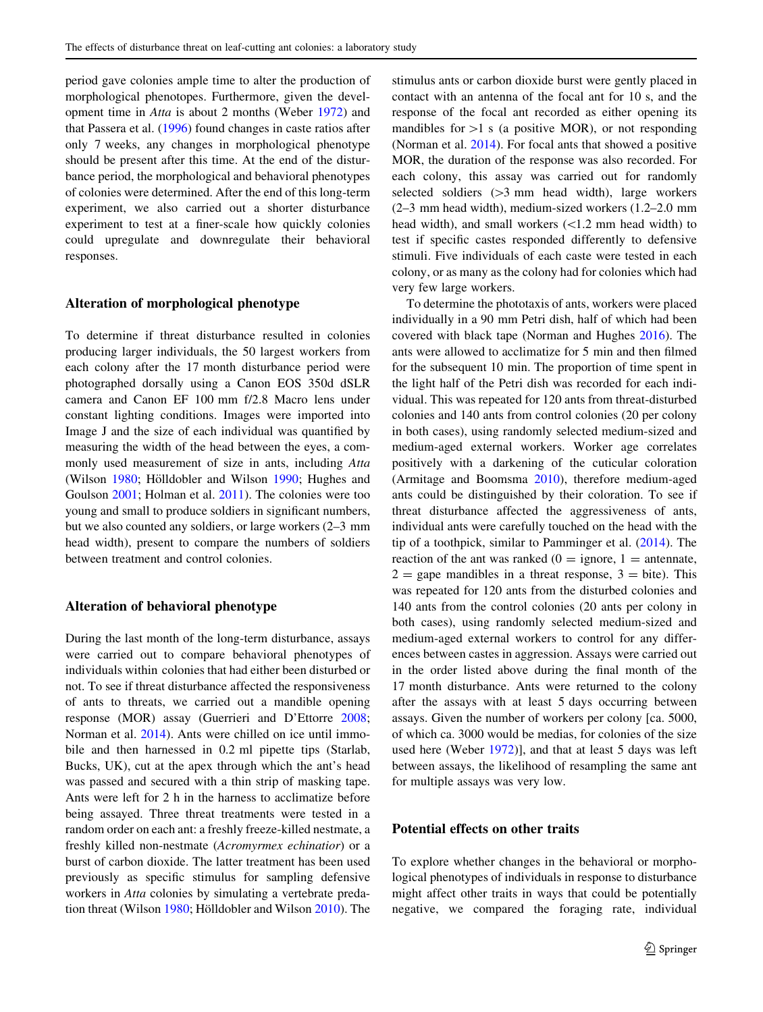period gave colonies ample time to alter the production of morphological phenotopes. Furthermore, given the development time in Atta is about 2 months (Weber [1972\)](#page-10-0) and that Passera et al. ([1996\)](#page-9-0) found changes in caste ratios after only 7 weeks, any changes in morphological phenotype should be present after this time. At the end of the disturbance period, the morphological and behavioral phenotypes of colonies were determined. After the end of this long-term experiment, we also carried out a shorter disturbance experiment to test at a finer-scale how quickly colonies could upregulate and downregulate their behavioral responses.

### Alteration of morphological phenotype

To determine if threat disturbance resulted in colonies producing larger individuals, the 50 largest workers from each colony after the 17 month disturbance period were photographed dorsally using a Canon EOS 350d dSLR camera and Canon EF 100 mm f/2.8 Macro lens under constant lighting conditions. Images were imported into Image J and the size of each individual was quantified by measuring the width of the head between the eyes, a commonly used measurement of size in ants, including Atta (Wilson [1980](#page-10-0); Hölldobler and Wilson [1990](#page-9-0); Hughes and Goulson [2001;](#page-9-0) Holman et al. [2011\)](#page-9-0). The colonies were too young and small to produce soldiers in significant numbers, but we also counted any soldiers, or large workers (2–3 mm head width), present to compare the numbers of soldiers between treatment and control colonies.

## Alteration of behavioral phenotype

During the last month of the long-term disturbance, assays were carried out to compare behavioral phenotypes of individuals within colonies that had either been disturbed or not. To see if threat disturbance affected the responsiveness of ants to threats, we carried out a mandible opening response (MOR) assay (Guerrieri and D'Ettorre [2008](#page-8-0); Norman et al. [2014\)](#page-9-0). Ants were chilled on ice until immobile and then harnessed in 0.2 ml pipette tips (Starlab, Bucks, UK), cut at the apex through which the ant's head was passed and secured with a thin strip of masking tape. Ants were left for 2 h in the harness to acclimatize before being assayed. Three threat treatments were tested in a random order on each ant: a freshly freeze-killed nestmate, a freshly killed non-nestmate (Acromyrmex echinatior) or a burst of carbon dioxide. The latter treatment has been used previously as specific stimulus for sampling defensive workers in Atta colonies by simulating a vertebrate preda-tion threat (Wilson [1980;](#page-10-0) Hölldobler and Wilson [2010\)](#page-9-0). The stimulus ants or carbon dioxide burst were gently placed in contact with an antenna of the focal ant for 10 s, and the response of the focal ant recorded as either opening its mandibles for  $>1$  s (a positive MOR), or not responding (Norman et al. [2014](#page-9-0)). For focal ants that showed a positive MOR, the duration of the response was also recorded. For each colony, this assay was carried out for randomly selected soldiers  $(>= 3$  mm head width), large workers (2–3 mm head width), medium-sized workers (1.2–2.0 mm head width), and small workers  $(\leq1.2 \text{ mm head width})$  to test if specific castes responded differently to defensive stimuli. Five individuals of each caste were tested in each colony, or as many as the colony had for colonies which had very few large workers.

To determine the phototaxis of ants, workers were placed individually in a 90 mm Petri dish, half of which had been covered with black tape (Norman and Hughes [2016](#page-9-0)). The ants were allowed to acclimatize for 5 min and then filmed for the subsequent 10 min. The proportion of time spent in the light half of the Petri dish was recorded for each individual. This was repeated for 120 ants from threat-disturbed colonies and 140 ants from control colonies (20 per colony in both cases), using randomly selected medium-sized and medium-aged external workers. Worker age correlates positively with a darkening of the cuticular coloration (Armitage and Boomsma [2010](#page-8-0)), therefore medium-aged ants could be distinguished by their coloration. To see if threat disturbance affected the aggressiveness of ants, individual ants were carefully touched on the head with the tip of a toothpick, similar to Pamminger et al. ([2014\)](#page-9-0). The reaction of the ant was ranked  $(0 =$  ignore,  $1 =$  antennate,  $2 =$  gape mandibles in a threat response,  $3 =$  bite). This was repeated for 120 ants from the disturbed colonies and 140 ants from the control colonies (20 ants per colony in both cases), using randomly selected medium-sized and medium-aged external workers to control for any differences between castes in aggression. Assays were carried out in the order listed above during the final month of the 17 month disturbance. Ants were returned to the colony after the assays with at least 5 days occurring between assays. Given the number of workers per colony [ca. 5000, of which ca. 3000 would be medias, for colonies of the size used here (Weber [1972](#page-10-0))], and that at least 5 days was left between assays, the likelihood of resampling the same ant for multiple assays was very low.

## Potential effects on other traits

To explore whether changes in the behavioral or morphological phenotypes of individuals in response to disturbance might affect other traits in ways that could be potentially negative, we compared the foraging rate, individual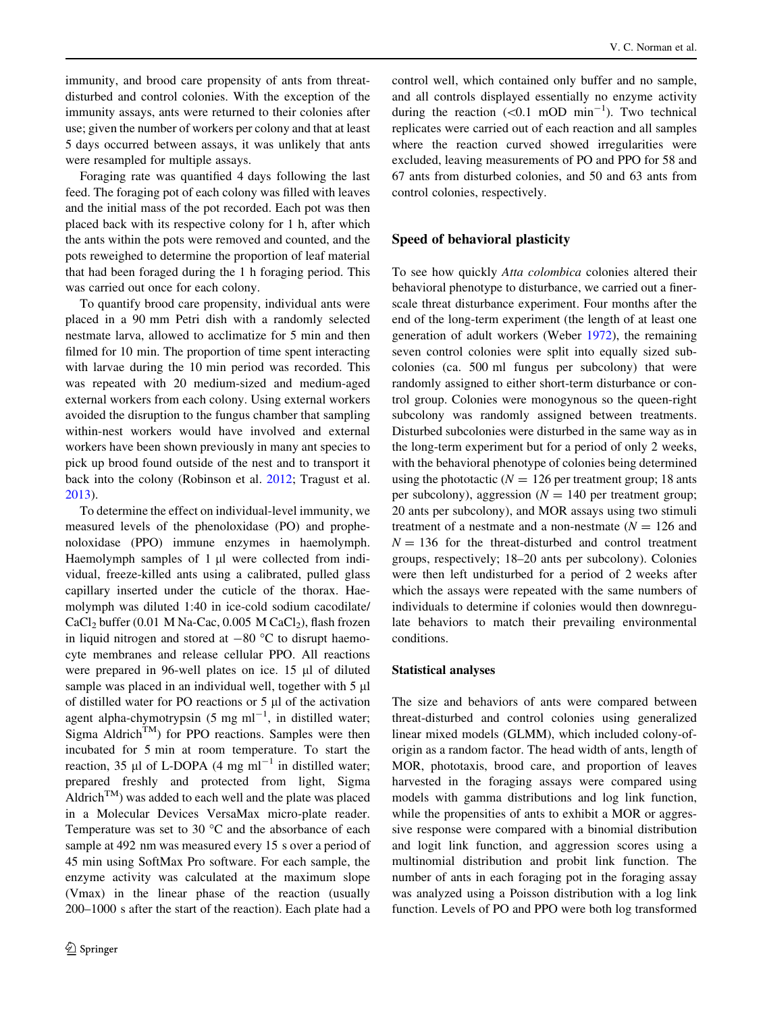immunity, and brood care propensity of ants from threatdisturbed and control colonies. With the exception of the immunity assays, ants were returned to their colonies after use; given the number of workers per colony and that at least 5 days occurred between assays, it was unlikely that ants were resampled for multiple assays.

Foraging rate was quantified 4 days following the last feed. The foraging pot of each colony was filled with leaves and the initial mass of the pot recorded. Each pot was then placed back with its respective colony for 1 h, after which the ants within the pots were removed and counted, and the pots reweighed to determine the proportion of leaf material that had been foraged during the 1 h foraging period. This was carried out once for each colony.

To quantify brood care propensity, individual ants were placed in a 90 mm Petri dish with a randomly selected nestmate larva, allowed to acclimatize for 5 min and then filmed for 10 min. The proportion of time spent interacting with larvae during the 10 min period was recorded. This was repeated with 20 medium-sized and medium-aged external workers from each colony. Using external workers avoided the disruption to the fungus chamber that sampling within-nest workers would have involved and external workers have been shown previously in many ant species to pick up brood found outside of the nest and to transport it back into the colony (Robinson et al. [2012](#page-9-0); Tragust et al. [2013\)](#page-9-0).

To determine the effect on individual-level immunity, we measured levels of the phenoloxidase (PO) and prophenoloxidase (PPO) immune enzymes in haemolymph. Haemolymph samples of 1 µl were collected from individual, freeze-killed ants using a calibrated, pulled glass capillary inserted under the cuticle of the thorax. Haemolymph was diluted 1:40 in ice-cold sodium cacodilate/  $CaCl<sub>2</sub> buffer (0.01 M Na-Cac, 0.005 M CaCl<sub>2</sub>), flash frozen$ in liquid nitrogen and stored at  $-80$  °C to disrupt haemocyte membranes and release cellular PPO. All reactions were prepared in 96-well plates on ice. 15 µl of diluted sample was placed in an individual well, together with 5 µl of distilled water for PO reactions or  $5 \mu l$  of the activation agent alpha-chymotrypsin  $(5 \text{ mg ml}^{-1})$ , in distilled water; Sigma Aldrich<sup>TM</sup>) for PPO reactions. Samples were then incubated for 5 min at room temperature. To start the reaction, 35  $\mu$ l of L-DOPA (4 mg ml<sup>-1</sup> in distilled water; prepared freshly and protected from light, Sigma Aldrich<sup>TM</sup>) was added to each well and the plate was placed in a Molecular Devices VersaMax micro-plate reader. Temperature was set to 30  $^{\circ}$ C and the absorbance of each sample at 492 nm was measured every 15 s over a period of 45 min using SoftMax Pro software. For each sample, the enzyme activity was calculated at the maximum slope (Vmax) in the linear phase of the reaction (usually 200–1000 s after the start of the reaction). Each plate had a control well, which contained only buffer and no sample, and all controls displayed essentially no enzyme activity during the reaction  $(<0.1 \text{ mOD min}^{-1})$ . Two technical replicates were carried out of each reaction and all samples where the reaction curved showed irregularities were excluded, leaving measurements of PO and PPO for 58 and 67 ants from disturbed colonies, and 50 and 63 ants from control colonies, respectively.

# Speed of behavioral plasticity

To see how quickly Atta colombica colonies altered their behavioral phenotype to disturbance, we carried out a finerscale threat disturbance experiment. Four months after the end of the long-term experiment (the length of at least one generation of adult workers (Weber [1972\)](#page-10-0), the remaining seven control colonies were split into equally sized subcolonies (ca. 500 ml fungus per subcolony) that were randomly assigned to either short-term disturbance or control group. Colonies were monogynous so the queen-right subcolony was randomly assigned between treatments. Disturbed subcolonies were disturbed in the same way as in the long-term experiment but for a period of only 2 weeks, with the behavioral phenotype of colonies being determined using the phototactic ( $N = 126$  per treatment group; 18 ants per subcolony), aggression ( $N = 140$  per treatment group; 20 ants per subcolony), and MOR assays using two stimuli treatment of a nestmate and a non-nestmate  $(N = 126$  and  $N = 136$  for the threat-disturbed and control treatment groups, respectively; 18–20 ants per subcolony). Colonies were then left undisturbed for a period of 2 weeks after which the assays were repeated with the same numbers of individuals to determine if colonies would then downregulate behaviors to match their prevailing environmental conditions.

## Statistical analyses

The size and behaviors of ants were compared between threat-disturbed and control colonies using generalized linear mixed models (GLMM), which included colony-oforigin as a random factor. The head width of ants, length of MOR, phototaxis, brood care, and proportion of leaves harvested in the foraging assays were compared using models with gamma distributions and log link function, while the propensities of ants to exhibit a MOR or aggressive response were compared with a binomial distribution and logit link function, and aggression scores using a multinomial distribution and probit link function. The number of ants in each foraging pot in the foraging assay was analyzed using a Poisson distribution with a log link function. Levels of PO and PPO were both log transformed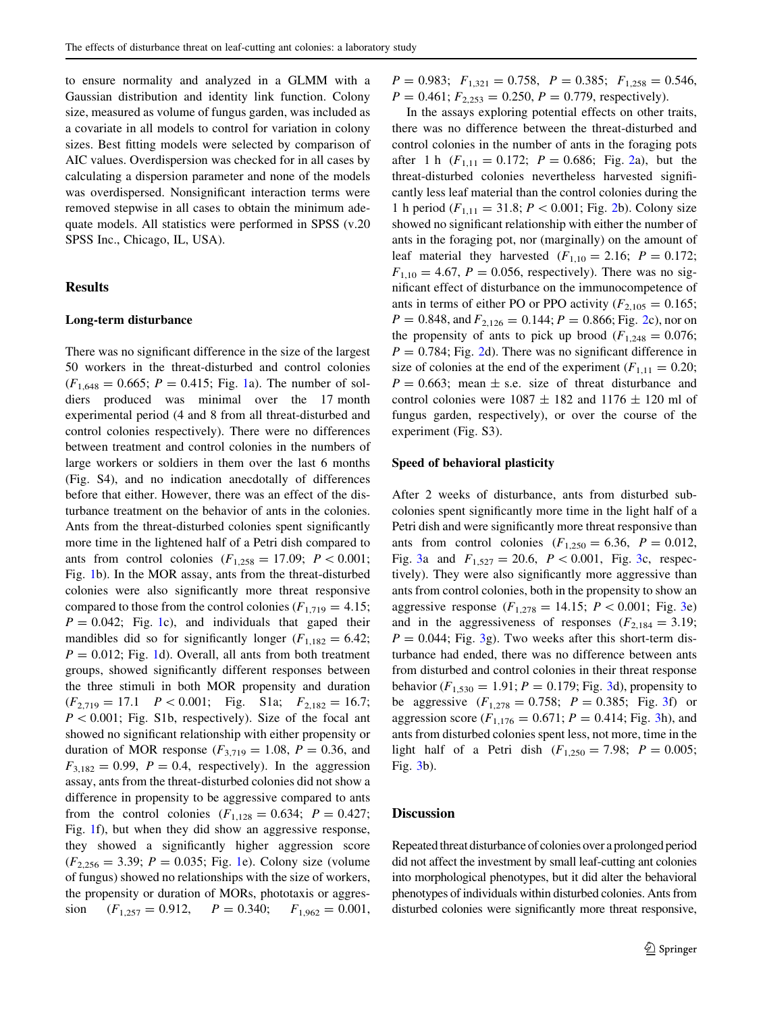to ensure normality and analyzed in a GLMM with a Gaussian distribution and identity link function. Colony size, measured as volume of fungus garden, was included as a covariate in all models to control for variation in colony sizes. Best fitting models were selected by comparison of AIC values. Overdispersion was checked for in all cases by calculating a dispersion parameter and none of the models was overdispersed. Nonsignificant interaction terms were removed stepwise in all cases to obtain the minimum adequate models. All statistics were performed in SPSS (v.20 SPSS Inc., Chicago, IL, USA).

# Results

### Long-term disturbance

There was no significant difference in the size of the largest 50 workers in the threat-disturbed and control colonies  $(F_{1,648} = 0.665; P = 0.415; Fig. 1a)$  $(F_{1,648} = 0.665; P = 0.415; Fig. 1a)$  $(F_{1,648} = 0.665; P = 0.415; Fig. 1a)$ . The number of soldiers produced was minimal over the 17 month experimental period (4 and 8 from all threat-disturbed and control colonies respectively). There were no differences between treatment and control colonies in the numbers of large workers or soldiers in them over the last 6 months (Fig. S4), and no indication anecdotally of differences before that either. However, there was an effect of the disturbance treatment on the behavior of ants in the colonies. Ants from the threat-disturbed colonies spent significantly more time in the lightened half of a Petri dish compared to ants from control colonies  $(F_{1,258} = 17.09; P < 0.001;$ Fig. [1](#page-5-0)b). In the MOR assay, ants from the threat-disturbed colonies were also significantly more threat responsive compared to those from the control colonies ( $F_{1,719} = 4.15$ ;  $P = 0.042$ ; Fig. [1c](#page-5-0)), and individuals that gaped their mandibles did so for significantly longer ( $F_{1,182} = 6.42$ ;  $P = 0.012$  $P = 0.012$  $P = 0.012$ ; Fig. 1d). Overall, all ants from both treatment groups, showed significantly different responses between the three stimuli in both MOR propensity and duration  $(F_{2,719} = 17.1 \quad P < 0.001; \quad \text{Fig. S1a}; \quad F_{2,182} = 16.7;$  $P < 0.001$ ; Fig. S1b, respectively). Size of the focal ant showed no significant relationship with either propensity or duration of MOR response  $(F_{3,719} = 1.08, P = 0.36,$  and  $F_{3,182} = 0.99$ ,  $P = 0.4$ , respectively). In the aggression assay, ants from the threat-disturbed colonies did not show a difference in propensity to be aggressive compared to ants from the control colonies  $(F_{1,128} = 0.634; P = 0.427;$ Fig. [1](#page-5-0)f), but when they did show an aggressive response, they showed a significantly higher aggression score  $(F_{2,256} = 3.39; P = 0.035; Fig. 1e)$  $(F_{2,256} = 3.39; P = 0.035; Fig. 1e)$  $(F_{2,256} = 3.39; P = 0.035; Fig. 1e)$ . Colony size (volume of fungus) showed no relationships with the size of workers, the propensity or duration of MORs, phototaxis or aggression  $(F_{1,257} = 0.912, P = 0.340; F_{1,962} = 0.001,$ 

 $P = 0.983$ ;  $F_{1,321} = 0.758$ ,  $P = 0.385$ ;  $F_{1,258} = 0.546$ ,  $P = 0.461$ ;  $F_{2,253} = 0.250$ ,  $P = 0.779$ , respectively).

In the assays exploring potential effects on other traits, there was no difference between the threat-disturbed and control colonies in the number of ants in the foraging pots after 1 h  $(F_{1,11} = 0.172; P = 0.686; Fig. 2a)$  $(F_{1,11} = 0.172; P = 0.686; Fig. 2a)$  $(F_{1,11} = 0.172; P = 0.686; Fig. 2a)$ , but the threat-disturbed colonies nevertheless harvested significantly less leaf material than the control colonies during the 1 h period ( $F_{1,11} = 31.8; P < 0.001;$  Fig. [2b](#page-6-0)). Colony size showed no significant relationship with either the number of ants in the foraging pot, nor (marginally) on the amount of leaf material they harvested  $(F_{1,10} = 2.16; P = 0.172;$  $F_{1,10} = 4.67, P = 0.056$ , respectively). There was no significant effect of disturbance on the immunocompetence of ants in terms of either PO or PPO activity ( $F_{2,105} = 0.165$ ;  $P = 0.848$ , and  $F_{2,126} = 0.144$ ;  $P = 0.866$ ; Fig. [2c](#page-6-0)), nor on the propensity of ants to pick up brood ( $F_{1,248} = 0.076$ ;  $P = 0.784$ ; Fig. [2d](#page-6-0)). There was no significant difference in size of colonies at the end of the experiment ( $F_{1,11} = 0.20$ ;  $P = 0.663$ ; mean  $\pm$  s.e. size of threat disturbance and control colonies were  $1087 \pm 182$  and  $1176 \pm 120$  ml of fungus garden, respectively), or over the course of the experiment (Fig. S3).

#### Speed of behavioral plasticity

After 2 weeks of disturbance, ants from disturbed subcolonies spent significantly more time in the light half of a Petri dish and were significantly more threat responsive than ants from control colonies  $(F_{1,250} = 6.36, P = 0.012,$ Fig. [3](#page-7-0)a and  $F_{1,527} = 20.6$ ,  $P < 0.001$ , Fig. [3c](#page-7-0), respectively). They were also significantly more aggressive than ants from control colonies, both in the propensity to show an aggressive response  $(F_{1,278} = 14.15; P < 0.001;$  Fig. [3](#page-7-0)e) and in the aggressiveness of responses  $(F_{2,184} = 3.19;$  $P = 0.044$ ; Fig. [3g](#page-7-0)). Two weeks after this short-term disturbance had ended, there was no difference between ants from disturbed and control colonies in their threat response behavior ( $F_{1,530} = 1.91; P = 0.179;$  Fig. [3d](#page-7-0)), propensity to be aggressive  $(F_{1,278} = 0.758; P = 0.385; Fig. 3f)$  $(F_{1,278} = 0.758; P = 0.385; Fig. 3f)$  $(F_{1,278} = 0.758; P = 0.385; Fig. 3f)$  or aggression score  $(F_{1,176} = 0.671; P = 0.414; Fig. 3h)$  $(F_{1,176} = 0.671; P = 0.414; Fig. 3h)$  $(F_{1,176} = 0.671; P = 0.414; Fig. 3h)$ , and ants from disturbed colonies spent less, not more, time in the light half of a Petri dish  $(F_{1,250} = 7.98; P = 0.005;$ Fig. [3](#page-7-0)b).

### **Discussion**

Repeated threat disturbance of colonies over a prolonged period did not affect the investment by small leaf-cutting ant colonies into morphological phenotypes, but it did alter the behavioral phenotypes of individuals within disturbed colonies. Ants from disturbed colonies were significantly more threat responsive,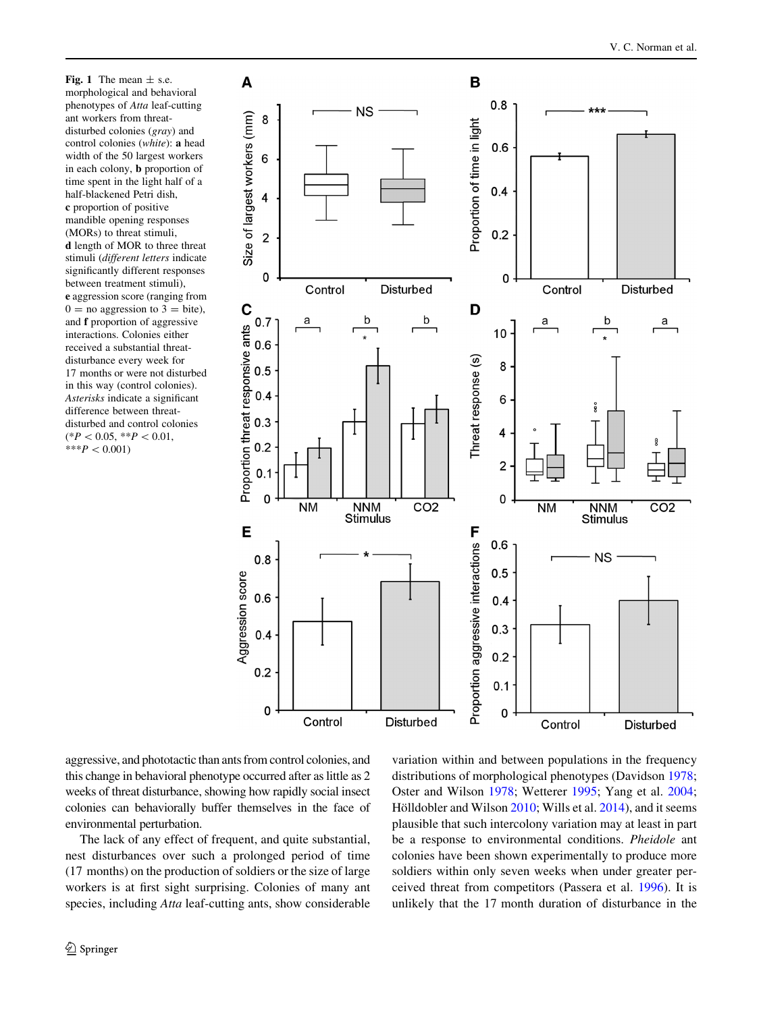<span id="page-5-0"></span>Fig. 1 The mean  $\pm$  s.e. morphological and behavioral phenotypes of Atta leaf-cutting ant workers from threatdisturbed colonies (gray) and control colonies (white): a head width of the 50 largest workers in each colony, b proportion of time spent in the light half of a half-blackened Petri dish, c proportion of positive mandible opening responses (MORs) to threat stimuli, d length of MOR to three threat stimuli (different letters indicate significantly different responses between treatment stimuli), e aggression score (ranging from  $0 =$  no aggression to  $3 =$  bite), and f proportion of aggressive interactions. Colonies either received a substantial threatdisturbance every week for 17 months or were not disturbed in this way (control colonies). Asterisks indicate a significant difference between threatdisturbed and control colonies  $(*P<0.05, **P<0.01,$ \*\*\* $P < 0.001$ 



aggressive, and phototactic than ants from control colonies, and this change in behavioral phenotype occurred after as little as 2 weeks of threat disturbance, showing how rapidly social insect colonies can behaviorally buffer themselves in the face of environmental perturbation.

The lack of any effect of frequent, and quite substantial, nest disturbances over such a prolonged period of time (17 months) on the production of soldiers or the size of large workers is at first sight surprising. Colonies of many ant species, including *Atta* leaf-cutting ants, show considerable variation within and between populations in the frequency distributions of morphological phenotypes (Davidson [1978](#page-8-0); Oster and Wilson [1978](#page-9-0); Wetterer [1995](#page-10-0); Yang et al. [2004](#page-10-0); Hölldobler and Wilson [2010;](#page-9-0) Wills et al. [2014](#page-10-0)), and it seems plausible that such intercolony variation may at least in part be a response to environmental conditions. Pheidole ant colonies have been shown experimentally to produce more soldiers within only seven weeks when under greater perceived threat from competitors (Passera et al. [1996](#page-9-0)). It is unlikely that the 17 month duration of disturbance in the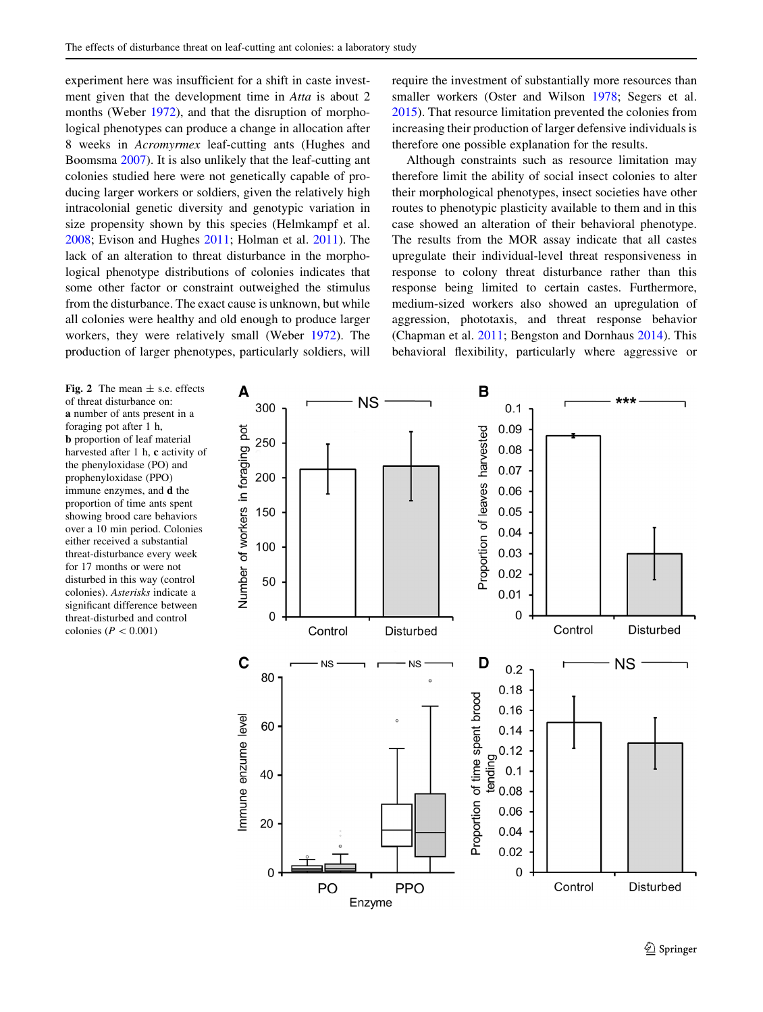<span id="page-6-0"></span>experiment here was insufficient for a shift in caste investment given that the development time in Atta is about 2 months (Weber [1972](#page-10-0)), and that the disruption of morphological phenotypes can produce a change in allocation after 8 weeks in Acromyrmex leaf-cutting ants (Hughes and Boomsma [2007](#page-9-0)). It is also unlikely that the leaf-cutting ant colonies studied here were not genetically capable of producing larger workers or soldiers, given the relatively high intracolonial genetic diversity and genotypic variation in size propensity shown by this species (Helmkampf et al. [2008;](#page-9-0) Evison and Hughes [2011](#page-8-0); Holman et al. [2011](#page-9-0)). The lack of an alteration to threat disturbance in the morphological phenotype distributions of colonies indicates that some other factor or constraint outweighed the stimulus from the disturbance. The exact cause is unknown, but while all colonies were healthy and old enough to produce larger workers, they were relatively small (Weber [1972\)](#page-10-0). The production of larger phenotypes, particularly soldiers, will require the investment of substantially more resources than smaller workers (Oster and Wilson [1978](#page-9-0); Segers et al. [2015](#page-9-0)). That resource limitation prevented the colonies from increasing their production of larger defensive individuals is therefore one possible explanation for the results.

Although constraints such as resource limitation may therefore limit the ability of social insect colonies to alter their morphological phenotypes, insect societies have other routes to phenotypic plasticity available to them and in this case showed an alteration of their behavioral phenotype. The results from the MOR assay indicate that all castes upregulate their individual-level threat responsiveness in response to colony threat disturbance rather than this response being limited to certain castes. Furthermore, medium-sized workers also showed an upregulation of aggression, phototaxis, and threat response behavior (Chapman et al. [2011](#page-8-0); Bengston and Dornhaus [2014\)](#page-8-0). This behavioral flexibility, particularly where aggressive or

Fig. 2 The mean  $\pm$  s.e. effects of threat disturbance on: a number of ants present in a foraging pot after 1 h, b proportion of leaf material harvested after 1 h, c activity of the phenyloxidase (PO) and prophenyloxidase (PPO) immune enzymes, and d the proportion of time ants spent showing brood care behaviors over a 10 min period. Colonies either received a substantial threat-disturbance every week for 17 months or were not disturbed in this way (control colonies). Asterisks indicate a significant difference between threat-disturbed and control colonies ( $P \lt 0.001$ )

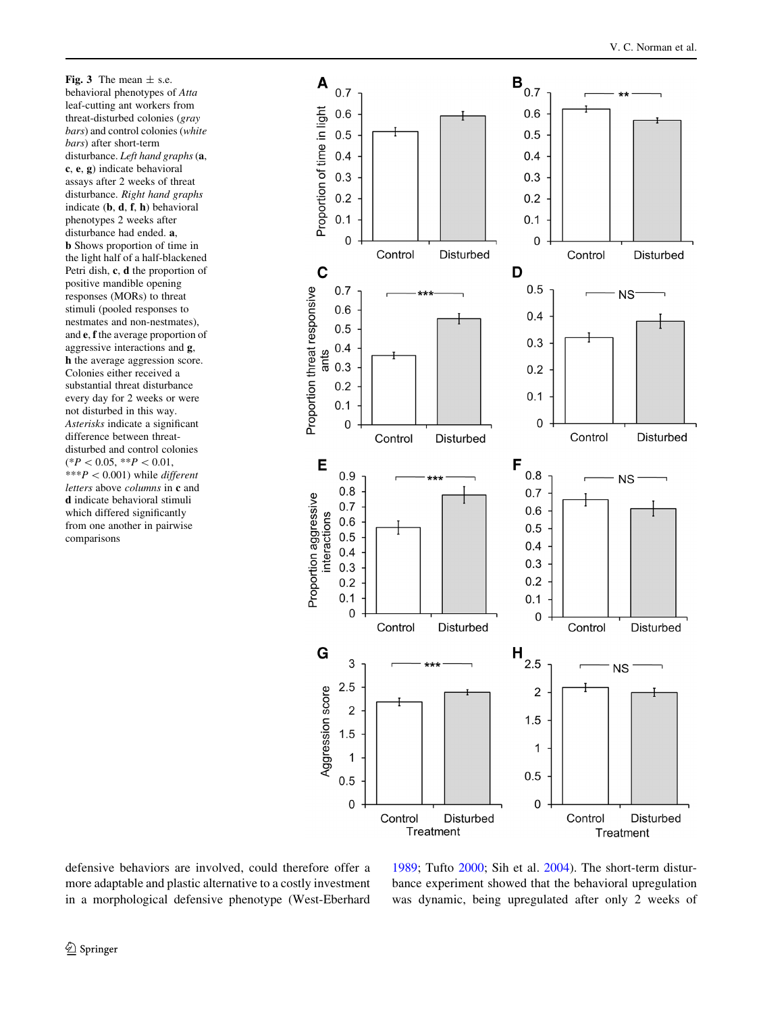<span id="page-7-0"></span>Fig. 3 The mean  $\pm$  s.e. behavioral phenotypes of Atta leaf-cutting ant workers from threat-disturbed colonies (gray bars) and control colonies (white bars) after short-term disturbance. Left hand graphs (a, c, e, g) indicate behavioral assays after 2 weeks of threat disturbance. Right hand graphs indicate (b, d, f, h) behavioral phenotypes 2 weeks after disturbance had ended. a, b Shows proportion of time in the light half of a half-blackened Petri dish, c, d the proportion of positive mandible opening responses (MORs) to threat stimuli (pooled responses to nestmates and non-nestmates), and e, f the average proportion of aggressive interactions and g, h the average aggression score. Colonies either received a substantial threat disturbance every day for 2 weeks or were not disturbed in this way. Asterisks indicate a significant difference between threatdisturbed and control colonies  $(*P<0.05, **P<0.01,$ \*\*\* $P < 0.001$ ) while *different* letters above columns in c and d indicate behavioral stimuli which differed significantly from one another in pairwise comparisons



defensive behaviors are involved, could therefore offer a more adaptable and plastic alternative to a costly investment in a morphological defensive phenotype (West-Eberhard

[1989](#page-10-0); Tufto [2000;](#page-10-0) Sih et al. [2004\)](#page-9-0). The short-term disturbance experiment showed that the behavioral upregulation was dynamic, being upregulated after only 2 weeks of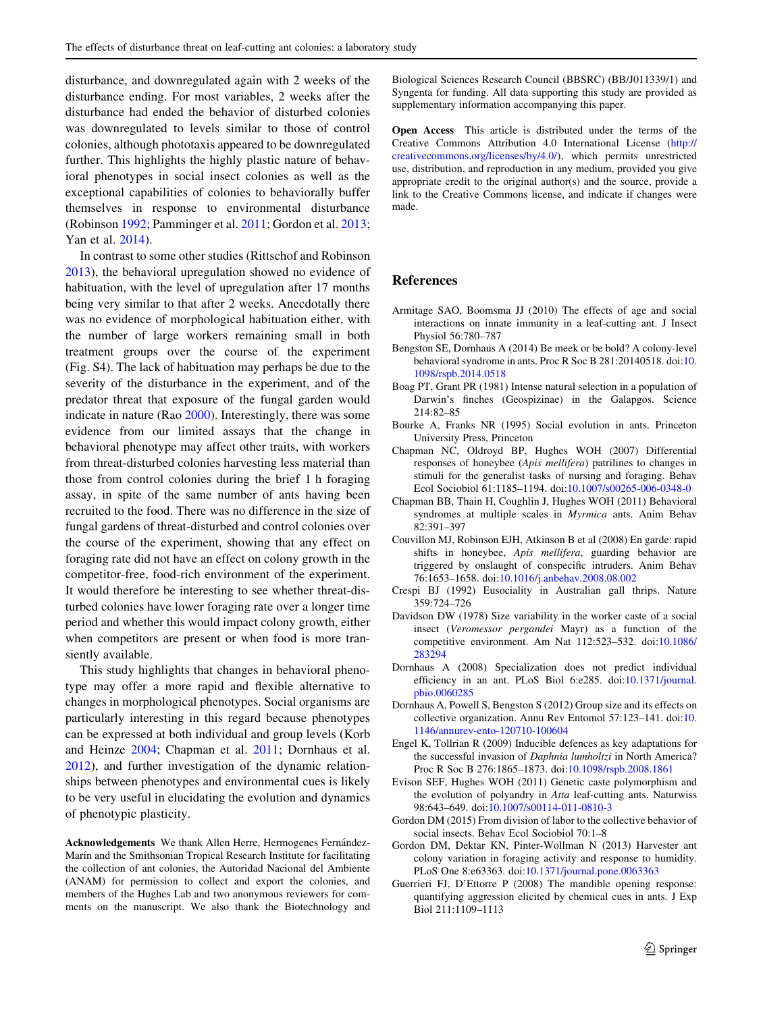<span id="page-8-0"></span>disturbance, and downregulated again with 2 weeks of the disturbance ending. For most variables, 2 weeks after the disturbance had ended the behavior of disturbed colonies was downregulated to levels similar to those of control colonies, although phototaxis appeared to be downregulated further. This highlights the highly plastic nature of behavioral phenotypes in social insect colonies as well as the exceptional capabilities of colonies to behaviorally buffer themselves in response to environmental disturbance (Robinson [1992;](#page-9-0) Pamminger et al. [2011](#page-9-0); Gordon et al. 2013; Yan et al. [2014](#page-10-0)).

In contrast to some other studies (Rittschof and Robinson [2013\)](#page-9-0), the behavioral upregulation showed no evidence of habituation, with the level of upregulation after 17 months being very similar to that after 2 weeks. Anecdotally there was no evidence of morphological habituation either, with the number of large workers remaining small in both treatment groups over the course of the experiment (Fig. S4). The lack of habituation may perhaps be due to the severity of the disturbance in the experiment, and of the predator threat that exposure of the fungal garden would indicate in nature (Rao [2000](#page-9-0)). Interestingly, there was some evidence from our limited assays that the change in behavioral phenotype may affect other traits, with workers from threat-disturbed colonies harvesting less material than those from control colonies during the brief 1 h foraging assay, in spite of the same number of ants having been recruited to the food. There was no difference in the size of fungal gardens of threat-disturbed and control colonies over the course of the experiment, showing that any effect on foraging rate did not have an effect on colony growth in the competitor-free, food-rich environment of the experiment. It would therefore be interesting to see whether threat-disturbed colonies have lower foraging rate over a longer time period and whether this would impact colony growth, either when competitors are present or when food is more transiently available.

This study highlights that changes in behavioral phenotype may offer a more rapid and flexible alternative to changes in morphological phenotypes. Social organisms are particularly interesting in this regard because phenotypes can be expressed at both individual and group levels (Korb and Heinze [2004](#page-9-0); Chapman et al. 2011; Dornhaus et al. 2012), and further investigation of the dynamic relationships between phenotypes and environmental cues is likely to be very useful in elucidating the evolution and dynamics of phenotypic plasticity.

Acknowledgements We thank Allen Herre, Hermogenes Fernández-Marín and the Smithsonian Tropical Research Institute for facilitating the collection of ant colonies, the Autoridad Nacional del Ambiente (ANAM) for permission to collect and export the colonies, and members of the Hughes Lab and two anonymous reviewers for comments on the manuscript. We also thank the Biotechnology and

Biological Sciences Research Council (BBSRC) (BB/J011339/1) and Syngenta for funding. All data supporting this study are provided as supplementary information accompanying this paper.

Open Access This article is distributed under the terms of the Creative Commons Attribution 4.0 International License ([http://](http://creativecommons.org/licenses/by/4.0/) [creativecommons.org/licenses/by/4.0/](http://creativecommons.org/licenses/by/4.0/)), which permits unrestricted use, distribution, and reproduction in any medium, provided you give appropriate credit to the original author(s) and the source, provide a link to the Creative Commons license, and indicate if changes were made.

# References

- Armitage SAO, Boomsma JJ (2010) The effects of age and social interactions on innate immunity in a leaf-cutting ant. J Insect Physiol 56:780–787
- Bengston SE, Dornhaus A (2014) Be meek or be bold? A colony-level behavioral syndrome in ants. Proc R Soc B 281:20140518. doi:[10.](http://dx.doi.org/10.1098/rspb.2014.0518) [1098/rspb.2014.0518](http://dx.doi.org/10.1098/rspb.2014.0518)
- Boag PT, Grant PR (1981) Intense natural selection in a population of Darwin's finches (Geospizinae) in the Galapgos. Science 214:82–85
- Bourke A, Franks NR (1995) Social evolution in ants. Princeton University Press, Princeton
- Chapman NC, Oldroyd BP, Hughes WOH (2007) Differential responses of honeybee (Apis mellifera) patrilines to changes in stimuli for the generalist tasks of nursing and foraging. Behav Ecol Sociobiol 61:1185–1194. doi[:10.1007/s00265-006-0348-0](http://dx.doi.org/10.1007/s00265-006-0348-0)
- Chapman BB, Thain H, Coughlin J, Hughes WOH (2011) Behavioral syndromes at multiple scales in Myrmica ants. Anim Behav 82:391–397
- Couvillon MJ, Robinson EJH, Atkinson B et al (2008) En garde: rapid shifts in honeybee, Apis mellifera, guarding behavior are triggered by onslaught of conspecific intruders. Anim Behav 76:1653–1658. doi:[10.1016/j.anbehav.2008.08.002](http://dx.doi.org/10.1016/j.anbehav.2008.08.002)
- Crespi BJ (1992) Eusociality in Australian gall thrips. Nature 359:724–726
- Davidson DW (1978) Size variability in the worker caste of a social insect (Veromessor pergandei Mayr) as a function of the competitive environment. Am Nat 112:523–532. doi[:10.1086/](http://dx.doi.org/10.1086/283294) [283294](http://dx.doi.org/10.1086/283294)
- Dornhaus A (2008) Specialization does not predict individual efficiency in an ant. PLoS Biol 6:e285. doi[:10.1371/journal.](http://dx.doi.org/10.1371/journal.pbio.0060285) [pbio.0060285](http://dx.doi.org/10.1371/journal.pbio.0060285)
- Dornhaus A, Powell S, Bengston S (2012) Group size and its effects on collective organization. Annu Rev Entomol 57:123–141. doi:[10.](http://dx.doi.org/10.1146/annurev-ento-120710-100604) [1146/annurev-ento-120710-100604](http://dx.doi.org/10.1146/annurev-ento-120710-100604)
- Engel K, Tollrian R (2009) Inducible defences as key adaptations for the successful invasion of *Daphnia lumholtzi* in North America? Proc R Soc B 276:1865–1873. doi:[10.1098/rspb.2008.1861](http://dx.doi.org/10.1098/rspb.2008.1861)
- Evison SEF, Hughes WOH (2011) Genetic caste polymorphism and the evolution of polyandry in Atta leaf-cutting ants. Naturwiss 98:643–649. doi[:10.1007/s00114-011-0810-3](http://dx.doi.org/10.1007/s00114-011-0810-3)
- Gordon DM (2015) From division of labor to the collective behavior of social insects. Behav Ecol Sociobiol 70:1–8
- Gordon DM, Dektar KN, Pinter-Wollman N (2013) Harvester ant colony variation in foraging activity and response to humidity. PLoS One 8:e63363. doi[:10.1371/journal.pone.0063363](http://dx.doi.org/10.1371/journal.pone.0063363)
- Guerrieri FJ, D'Ettorre P (2008) The mandible opening response: quantifying aggression elicited by chemical cues in ants. J Exp Biol 211:1109–1113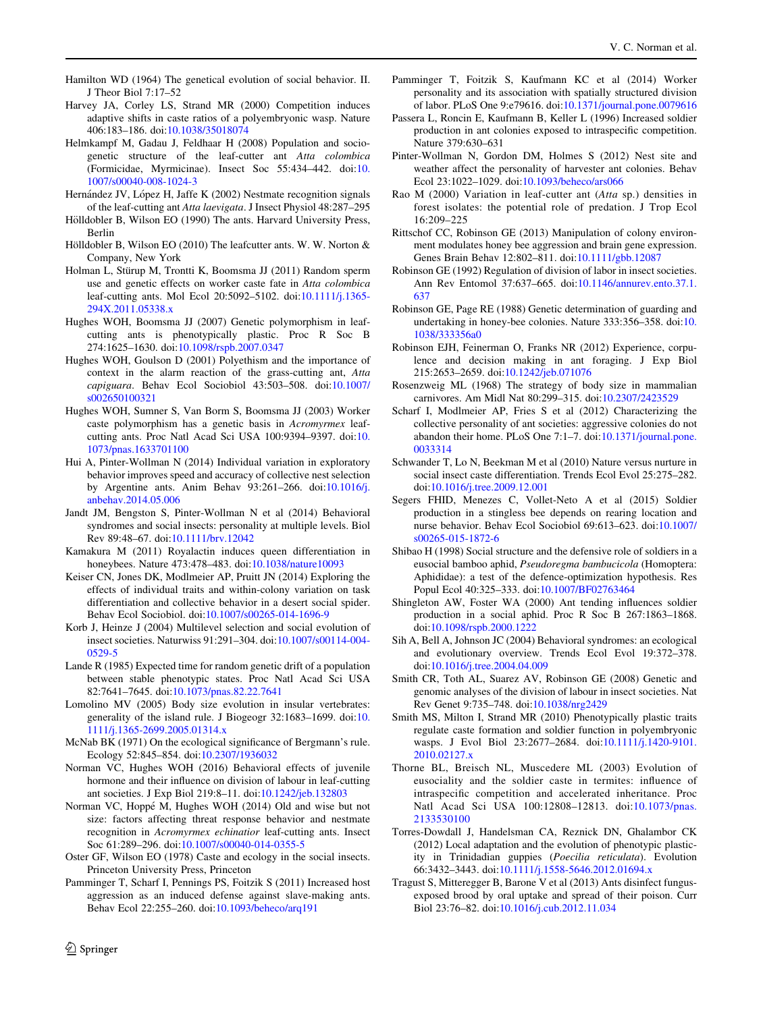- <span id="page-9-0"></span>Hamilton WD (1964) The genetical evolution of social behavior. II. J Theor Biol 7:17–52
- Harvey JA, Corley LS, Strand MR (2000) Competition induces adaptive shifts in caste ratios of a polyembryonic wasp. Nature 406:183–186. doi:[10.1038/35018074](http://dx.doi.org/10.1038/35018074)
- Helmkampf M, Gadau J, Feldhaar H (2008) Population and sociogenetic structure of the leaf-cutter ant Atta colombica (Formicidae, Myrmicinae). Insect Soc 55:434–442. doi:[10.](http://dx.doi.org/10.1007/s00040-008-1024-3) [1007/s00040-008-1024-3](http://dx.doi.org/10.1007/s00040-008-1024-3)
- Hernández JV, López H, Jaffe K (2002) Nestmate recognition signals of the leaf-cutting ant Atta laevigata. J Insect Physiol 48:287–295
- Hölldobler B, Wilson EO (1990) The ants. Harvard University Press, Berlin
- Hölldobler B, Wilson EO (2010) The leafcutter ants. W. W. Norton  $&$ Company, New York
- Holman L, Stürup M, Trontti K, Boomsma JJ (2011) Random sperm use and genetic effects on worker caste fate in Atta colombica leaf-cutting ants. Mol Ecol 20:5092–5102. doi:[10.1111/j.1365-](http://dx.doi.org/10.1111/j.1365-294X.2011.05338.x) [294X.2011.05338.x](http://dx.doi.org/10.1111/j.1365-294X.2011.05338.x)
- Hughes WOH, Boomsma JJ (2007) Genetic polymorphism in leafcutting ants is phenotypically plastic. Proc R Soc B 274:1625–1630. doi[:10.1098/rspb.2007.0347](http://dx.doi.org/10.1098/rspb.2007.0347)
- Hughes WOH, Goulson D (2001) Polyethism and the importance of context in the alarm reaction of the grass-cutting ant, Atta capiguara. Behav Ecol Sociobiol 43:503–508. doi[:10.1007/](http://dx.doi.org/10.1007/s002650100321) [s002650100321](http://dx.doi.org/10.1007/s002650100321)
- Hughes WOH, Sumner S, Van Borm S, Boomsma JJ (2003) Worker caste polymorphism has a genetic basis in Acromyrmex leafcutting ants. Proc Natl Acad Sci USA 100:9394–9397. doi:[10.](http://dx.doi.org/10.1073/pnas.1633701100) [1073/pnas.1633701100](http://dx.doi.org/10.1073/pnas.1633701100)
- Hui A, Pinter-Wollman N (2014) Individual variation in exploratory behavior improves speed and accuracy of collective nest selection by Argentine ants. Anim Behav 93:261–266. doi:[10.1016/j.](http://dx.doi.org/10.1016/j.anbehav.2014.05.006) [anbehav.2014.05.006](http://dx.doi.org/10.1016/j.anbehav.2014.05.006)
- Jandt JM, Bengston S, Pinter-Wollman N et al (2014) Behavioral syndromes and social insects: personality at multiple levels. Biol Rev 89:48–67. doi:[10.1111/brv.12042](http://dx.doi.org/10.1111/brv.12042)
- Kamakura M (2011) Royalactin induces queen differentiation in honeybees. Nature 473:478-483. doi:[10.1038/nature10093](http://dx.doi.org/10.1038/nature10093)
- Keiser CN, Jones DK, Modlmeier AP, Pruitt JN (2014) Exploring the effects of individual traits and within-colony variation on task differentiation and collective behavior in a desert social spider. Behav Ecol Sociobiol. doi:[10.1007/s00265-014-1696-9](http://dx.doi.org/10.1007/s00265-014-1696-9)
- Korb J, Heinze J (2004) Multilevel selection and social evolution of insect societies. Naturwiss 91:291–304. doi[:10.1007/s00114-004-](http://dx.doi.org/10.1007/s00114-004-0529-5) [0529-5](http://dx.doi.org/10.1007/s00114-004-0529-5)
- Lande R (1985) Expected time for random genetic drift of a population between stable phenotypic states. Proc Natl Acad Sci USA 82:7641–7645. doi:[10.1073/pnas.82.22.7641](http://dx.doi.org/10.1073/pnas.82.22.7641)
- Lomolino MV (2005) Body size evolution in insular vertebrates: generality of the island rule. J Biogeogr 32:1683–1699. doi:[10.](http://dx.doi.org/10.1111/j.1365-2699.2005.01314.x) [1111/j.1365-2699.2005.01314.x](http://dx.doi.org/10.1111/j.1365-2699.2005.01314.x)
- McNab BK (1971) On the ecological significance of Bergmann's rule. Ecology 52:845–854. doi[:10.2307/1936032](http://dx.doi.org/10.2307/1936032)
- Norman VC, Hughes WOH (2016) Behavioral effects of juvenile hormone and their influence on division of labour in leaf-cutting ant societies. J Exp Biol 219:8–11. doi:[10.1242/jeb.132803](http://dx.doi.org/10.1242/jeb.132803)
- Norman VC, Hoppé M, Hughes WOH (2014) Old and wise but not size: factors affecting threat response behavior and nestmate recognition in Acromyrmex echinatior leaf-cutting ants. Insect Soc 61:289–296. doi:[10.1007/s00040-014-0355-5](http://dx.doi.org/10.1007/s00040-014-0355-5)
- Oster GF, Wilson EO (1978) Caste and ecology in the social insects. Princeton University Press, Princeton
- Pamminger T, Scharf I, Pennings PS, Foitzik S (2011) Increased host aggression as an induced defense against slave-making ants. Behav Ecol 22:255–260. doi:[10.1093/beheco/arq191](http://dx.doi.org/10.1093/beheco/arq191)

- Pamminger T, Foitzik S, Kaufmann KC et al (2014) Worker personality and its association with spatially structured division of labor. PLoS One 9:e79616. doi:[10.1371/journal.pone.0079616](http://dx.doi.org/10.1371/journal.pone.0079616)
- Passera L, Roncin E, Kaufmann B, Keller L (1996) Increased soldier production in ant colonies exposed to intraspecific competition. Nature 379:630–631
- Pinter-Wollman N, Gordon DM, Holmes S (2012) Nest site and weather affect the personality of harvester ant colonies. Behav Ecol 23:1022–1029. doi:[10.1093/beheco/ars066](http://dx.doi.org/10.1093/beheco/ars066)
- Rao M (2000) Variation in leaf-cutter ant (Atta sp.) densities in forest isolates: the potential role of predation. J Trop Ecol 16:209–225
- Rittschof CC, Robinson GE (2013) Manipulation of colony environment modulates honey bee aggression and brain gene expression. Genes Brain Behav 12:802–811. doi:[10.1111/gbb.12087](http://dx.doi.org/10.1111/gbb.12087)
- Robinson GE (1992) Regulation of division of labor in insect societies. Ann Rev Entomol 37:637–665. doi[:10.1146/annurev.ento.37.1.](http://dx.doi.org/10.1146/annurev.ento.37.1.637) [637](http://dx.doi.org/10.1146/annurev.ento.37.1.637)
- Robinson GE, Page RE (1988) Genetic determination of guarding and undertaking in honey-bee colonies. Nature 333:356–358. doi:[10.](http://dx.doi.org/10.1038/333356a0) [1038/333356a0](http://dx.doi.org/10.1038/333356a0)
- Robinson EJH, Feinerman O, Franks NR (2012) Experience, corpulence and decision making in ant foraging. J Exp Biol 215:2653–2659. doi[:10.1242/jeb.071076](http://dx.doi.org/10.1242/jeb.071076)
- Rosenzweig ML (1968) The strategy of body size in mammalian carnivores. Am Midl Nat 80:299–315. doi[:10.2307/2423529](http://dx.doi.org/10.2307/2423529)
- Scharf I, Modlmeier AP, Fries S et al (2012) Characterizing the collective personality of ant societies: aggressive colonies do not abandon their home. PLoS One 7:1–7. doi:[10.1371/journal.pone.](http://dx.doi.org/10.1371/journal.pone.0033314) [0033314](http://dx.doi.org/10.1371/journal.pone.0033314)
- Schwander T, Lo N, Beekman M et al (2010) Nature versus nurture in social insect caste differentiation. Trends Ecol Evol 25:275–282. doi[:10.1016/j.tree.2009.12.001](http://dx.doi.org/10.1016/j.tree.2009.12.001)
- Segers FHID, Menezes C, Vollet-Neto A et al (2015) Soldier production in a stingless bee depends on rearing location and nurse behavior. Behav Ecol Sociobiol 69:613–623. doi[:10.1007/](http://dx.doi.org/10.1007/s00265-015-1872-6) [s00265-015-1872-6](http://dx.doi.org/10.1007/s00265-015-1872-6)
- Shibao H (1998) Social structure and the defensive role of soldiers in a eusocial bamboo aphid, Pseudoregma bambucicola (Homoptera: Aphididae): a test of the defence-optimization hypothesis. Res Popul Ecol 40:325–333. doi:[10.1007/BF02763464](http://dx.doi.org/10.1007/BF02763464)
- Shingleton AW, Foster WA (2000) Ant tending influences soldier production in a social aphid. Proc R Soc B 267:1863–1868. doi[:10.1098/rspb.2000.1222](http://dx.doi.org/10.1098/rspb.2000.1222)
- Sih A, Bell A, Johnson JC (2004) Behavioral syndromes: an ecological and evolutionary overview. Trends Ecol Evol 19:372–378. doi[:10.1016/j.tree.2004.04.009](http://dx.doi.org/10.1016/j.tree.2004.04.009)
- Smith CR, Toth AL, Suarez AV, Robinson GE (2008) Genetic and genomic analyses of the division of labour in insect societies. Nat Rev Genet 9:735–748. doi[:10.1038/nrg2429](http://dx.doi.org/10.1038/nrg2429)
- Smith MS, Milton I, Strand MR (2010) Phenotypically plastic traits regulate caste formation and soldier function in polyembryonic wasps. J Evol Biol 23:2677–2684. doi[:10.1111/j.1420-9101.](http://dx.doi.org/10.1111/j.1420-9101.2010.02127.x) [2010.02127.x](http://dx.doi.org/10.1111/j.1420-9101.2010.02127.x)
- Thorne BL, Breisch NL, Muscedere ML (2003) Evolution of eusociality and the soldier caste in termites: influence of intraspecific competition and accelerated inheritance. Proc Natl Acad Sci USA 100:12808–12813. doi:[10.1073/pnas.](http://dx.doi.org/10.1073/pnas.2133530100) [2133530100](http://dx.doi.org/10.1073/pnas.2133530100)
- Torres-Dowdall J, Handelsman CA, Reznick DN, Ghalambor CK (2012) Local adaptation and the evolution of phenotypic plasticity in Trinidadian guppies (Poecilia reticulata). Evolution 66:3432–3443. doi:[10.1111/j.1558-5646.2012.01694.x](http://dx.doi.org/10.1111/j.1558-5646.2012.01694.x)
- Tragust S, Mitteregger B, Barone V et al (2013) Ants disinfect fungusexposed brood by oral uptake and spread of their poison. Curr Biol 23:76–82. doi[:10.1016/j.cub.2012.11.034](http://dx.doi.org/10.1016/j.cub.2012.11.034)